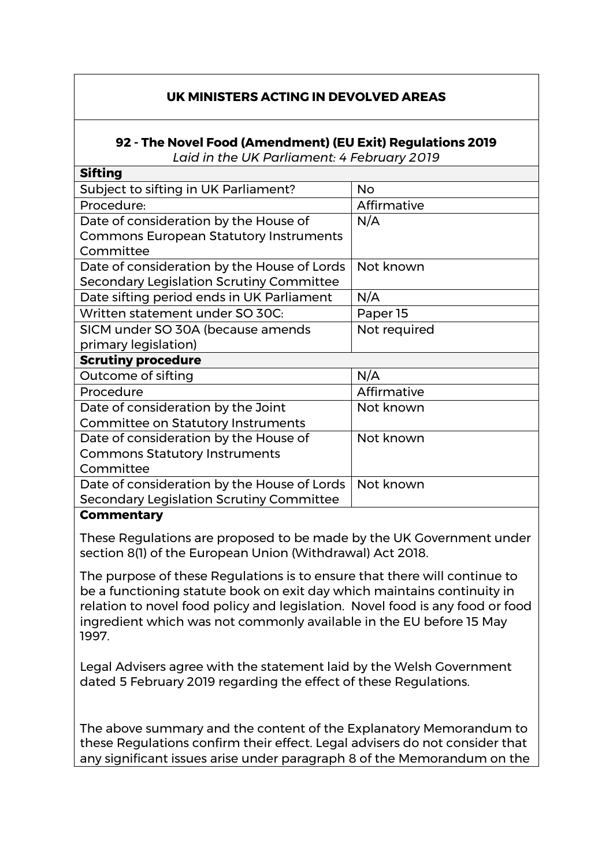## **UK MINISTERS ACTING IN DEVOLVED AREAS**

## **92 - The Novel Food (Amendment) (EU Exit) Regulations 2019**

*Laid in the UK Parliament: 4 February 2019*

| Sifting                                       |              |
|-----------------------------------------------|--------------|
| Subject to sifting in UK Parliament?          | <b>No</b>    |
| Procedure:                                    | Affirmative  |
| Date of consideration by the House of         | N/A          |
| <b>Commons European Statutory Instruments</b> |              |
| Committee                                     |              |
| Date of consideration by the House of Lords   | Not known    |
| Secondary Legislation Scrutiny Committee      |              |
| Date sifting period ends in UK Parliament     | N/A          |
| Written statement under SO 30C:               | Paper 15     |
| SICM under SO 30A (because amends             | Not required |
| primary legislation)                          |              |
| <b>Scrutiny procedure</b>                     |              |
| Outcome of sifting                            | N/A          |
| Procedure                                     | Affirmative  |
| Date of consideration by the Joint            | Not known    |
| <b>Committee on Statutory Instruments</b>     |              |
| Date of consideration by the House of         | Not known    |
| <b>Commons Statutory Instruments</b>          |              |
| Committee                                     |              |
| Date of consideration by the House of Lords   | Not known    |
| Secondary Legislation Scrutiny Committee      |              |
|                                               |              |

## **Commentary**

**Sifting** 

These Regulations are proposed to be made by the UK Government under section 8(1) of the European Union (Withdrawal) Act 2018.

The purpose of these Regulations is to ensure that there will continue to be a functioning statute book on exit day which maintains continuity in relation to novel food policy and legislation. Novel food is any food or food ingredient which was not commonly available in the EU before 15 May 1997.

Legal Advisers agree with the statement laid by the Welsh Government dated 5 February 2019 regarding the effect of these Regulations.

The above summary and the content of the Explanatory Memorandum to these Regulations confirm their effect. Legal advisers do not consider that any significant issues arise under paragraph 8 of the Memorandum on the